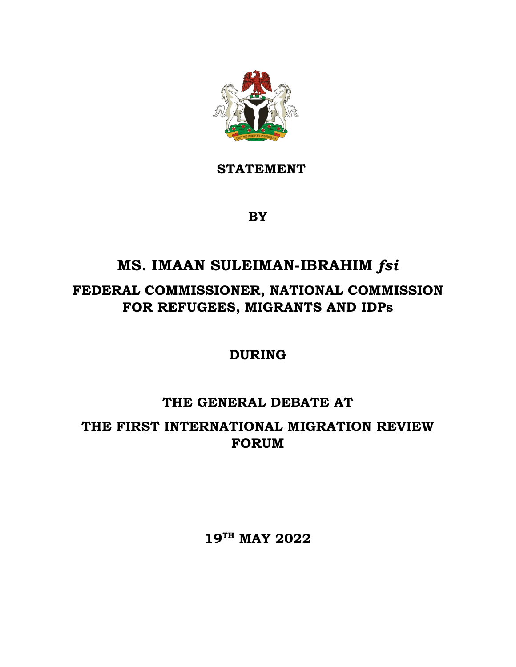

**STATEMENT**

**BY** 

## **MS. IMAAN SULEIMAN-IBRAHIM** *fsi*

### **FEDERAL COMMISSIONER, NATIONAL COMMISSION FOR REFUGEES, MIGRANTS AND IDPs**

**DURING**

# **THE GENERAL DEBATE AT THE FIRST INTERNATIONAL MIGRATION REVIEW**

**FORUM**

**19TH MAY 2022**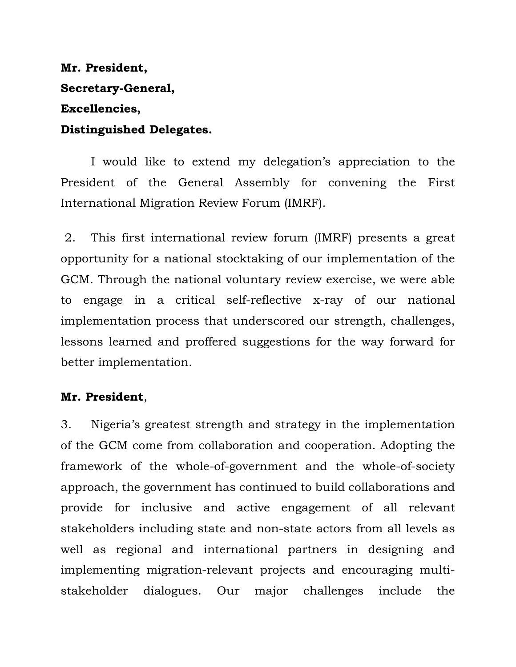### **Mr. President, Secretary-General, Excellencies, Distinguished Delegates.**

I would like to extend my delegation's appreciation to the President of the General Assembly for convening the First International Migration Review Forum (IMRF).

2. This first international review forum (IMRF) presents a great opportunity for a national stocktaking of our implementation of the GCM. Through the national voluntary review exercise, we were able to engage in a critical self-reflective x-ray of our national implementation process that underscored our strength, challenges, lessons learned and proffered suggestions for the way forward for better implementation.

#### **Mr. President**,

3. Nigeria's greatest strength and strategy in the implementation of the GCM come from collaboration and cooperation. Adopting the framework of the whole-of-government and the whole-of-society approach, the government has continued to build collaborations and provide for inclusive and active engagement of all relevant stakeholders including state and non-state actors from all levels as well as regional and international partners in designing and implementing migration-relevant projects and encouraging multistakeholder dialogues. Our major challenges include the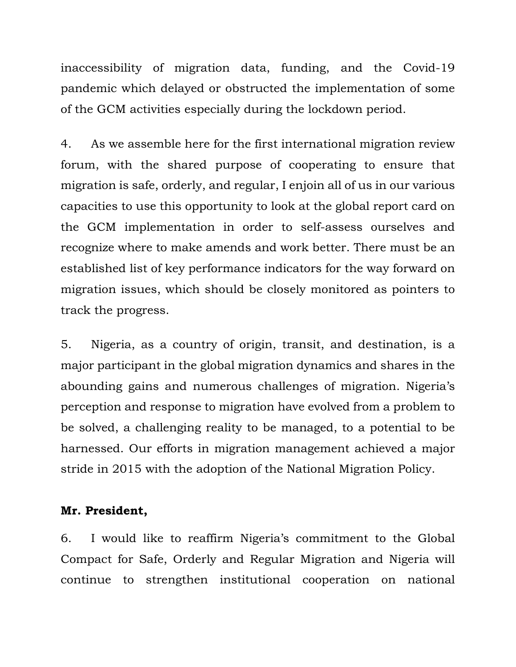inaccessibility of migration data, funding, and the Covid-19 pandemic which delayed or obstructed the implementation of some of the GCM activities especially during the lockdown period.

4. As we assemble here for the first international migration review forum, with the shared purpose of cooperating to ensure that migration is safe, orderly, and regular, I enjoin all of us in our various capacities to use this opportunity to look at the global report card on the GCM implementation in order to self-assess ourselves and recognize where to make amends and work better. There must be an established list of key performance indicators for the way forward on migration issues, which should be closely monitored as pointers to track the progress.

5. Nigeria, as a country of origin, transit, and destination, is a major participant in the global migration dynamics and shares in the abounding gains and numerous challenges of migration. Nigeria's perception and response to migration have evolved from a problem to be solved, a challenging reality to be managed, to a potential to be harnessed. Our efforts in migration management achieved a major stride in 2015 with the adoption of the National Migration Policy.

#### **Mr. President,**

6. I would like to reaffirm Nigeria's commitment to the Global Compact for Safe, Orderly and Regular Migration and Nigeria will continue to strengthen institutional cooperation on national